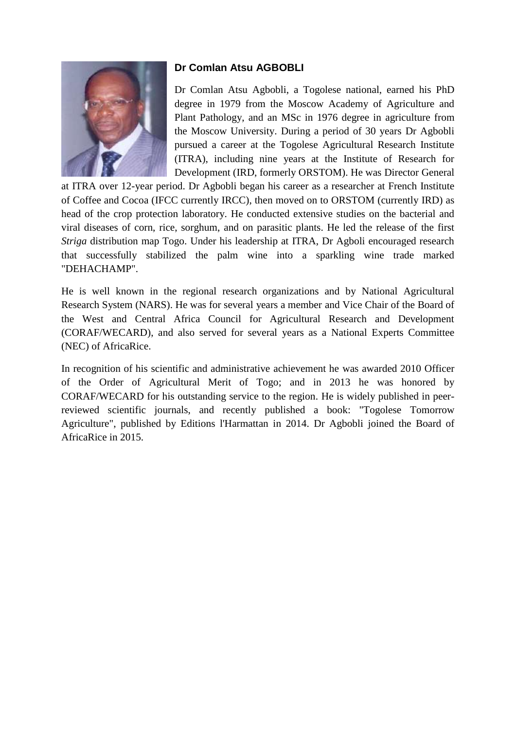

## **Dr Comlan Atsu AGBOBLI**

Dr Comlan Atsu Agbobli, a Togolese national, earned his PhD degree in 1979 from the Moscow Academy of Agriculture and Plant Pathology, and an MSc in 1976 degree in agriculture from the Moscow University. During a period of 30 years Dr Agbobli pursued a career at the Togolese Agricultural Research Institute (ITRA), including nine years at the Institute of Research for Development (IRD, formerly ORSTOM). He was Director General

at ITRA over 12-year period. Dr Agbobli began his career as a researcher at French Institute of Coffee and Cocoa (IFCC currently IRCC), then moved on to ORSTOM (currently IRD) as head of the crop protection laboratory. He conducted extensive studies on the bacterial and viral diseases of corn, rice, sorghum, and on parasitic plants. He led the release of the first *Striga* distribution map Togo. Under his leadership at ITRA, Dr Agboli encouraged research that successfully stabilized the palm wine into a sparkling wine trade marked "DEHACHAMP".

He is well known in the regional research organizations and by National Agricultural Research System (NARS). He was for several years a member and Vice Chair of the Board of the West and Central Africa Council for Agricultural Research and Development (CORAF/WECARD), and also served for several years as a National Experts Committee (NEC) of AfricaRice.

In recognition of his scientific and administrative achievement he was awarded 2010 Officer of the Order of Agricultural Merit of Togo; and in 2013 he was honored by CORAF/WECARD for his outstanding service to the region. He is widely published in peerreviewed scientific journals, and recently published a book: "Togolese Tomorrow Agriculture", published by Editions l'Harmattan in 2014. Dr Agbobli joined the Board of AfricaRice in 2015.